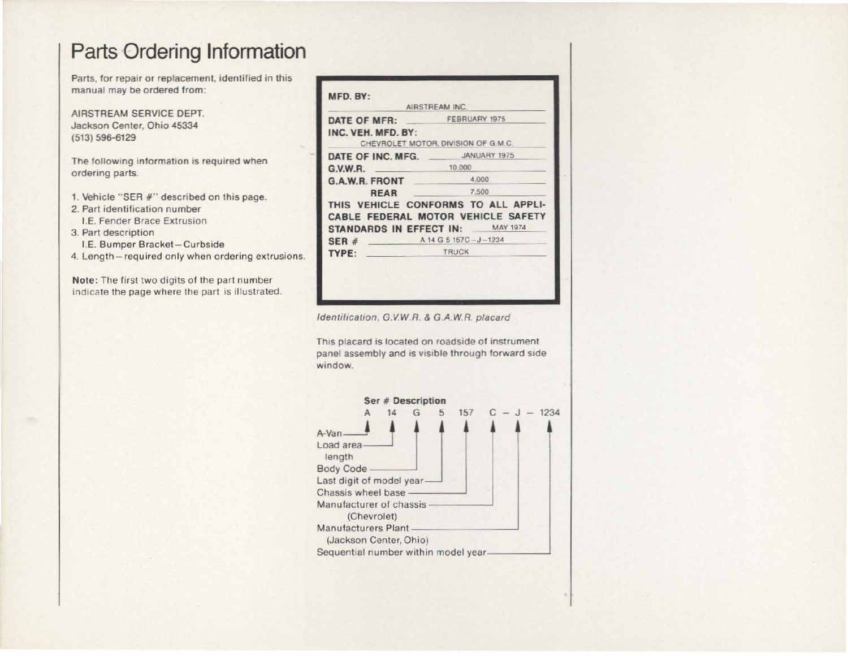## Parts Ordering Information

Parts, tor repair or replacement, identified in this manual may be ordered from:

AIRSTREAM SERVICE DEPT. Jackson Center, Ohio 45334 (513) 596-6129

The following information is required when ordering parts.

- 1. Vehicle "SER #" described on this page.
- 2. Part identification number I.E. Fender Brace Extrusion
- 3. Part description
	- I.E. Bumper Bracket-Curbside
- 4. Length required only when ordering extrusions.

Note: The first two digits of the pari number indicate the page where the part is illustrated.

| DATE OF MFR: FEBRUARY 1975       |                                     |  |  |  |  |  |
|----------------------------------|-------------------------------------|--|--|--|--|--|
|                                  |                                     |  |  |  |  |  |
| INC. VEH. MFD. BY:               | CHEVROLET MOTOR, DIVISION OF G.M.C. |  |  |  |  |  |
|                                  |                                     |  |  |  |  |  |
| DATE OF INC. MFG.                | JANUARY 1975                        |  |  |  |  |  |
| G.V.W.R.                         | 10,000                              |  |  |  |  |  |
| G.A.W.R. FRONT                   | 4,000                               |  |  |  |  |  |
| <b>REAR</b>                      | 7,500                               |  |  |  |  |  |
|                                  | THIS VEHICLE CONFORMS TO ALL APPLI- |  |  |  |  |  |
|                                  | CABLE FEDERAL MOTOR VEHICLE SAFETY  |  |  |  |  |  |
| STANDARDS IN EFFECT IN: MAY 1974 |                                     |  |  |  |  |  |
| SER#                             | A 14 G 5 157C-J-1234                |  |  |  |  |  |
| TYPE:                            | <b>TRUCK</b>                        |  |  |  |  |  |

Identification, G.V.W.R. & G.A.W.R. placard

This placard is located on roadside of instrument panel assembly and is visible through forward side window.